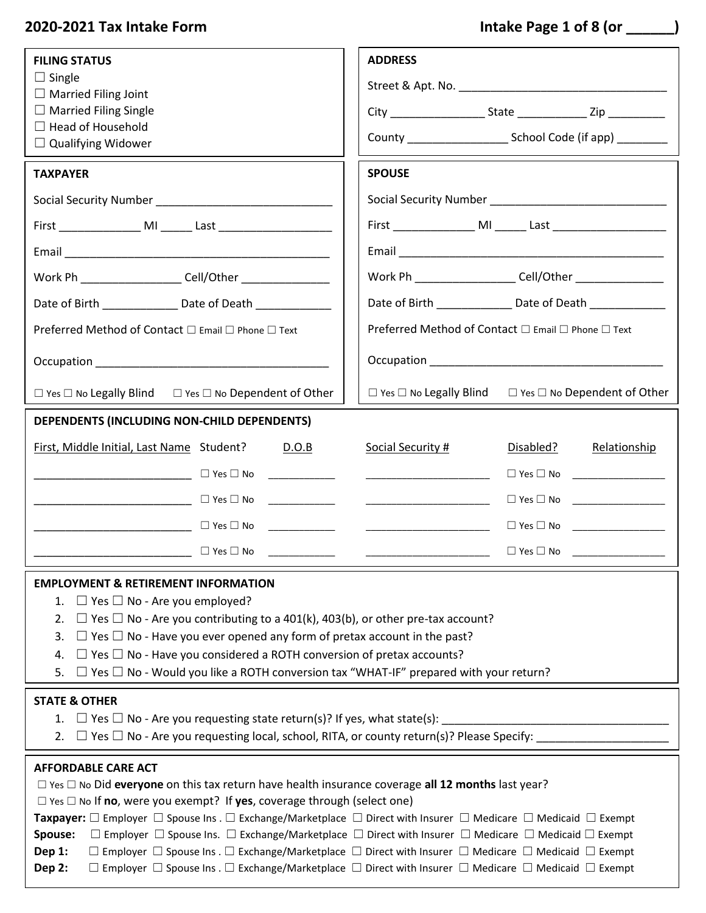# **2020-2021 Tax Intake Form Intake Page 1 of 8 (or \_\_\_\_\_\_)**

| <b>FILING STATUS</b>                                                                                                                                                                                                                                                                                                                                                                                                                                                                                                                                                                                                                                                                                                                                                                                                                                                    | <b>ADDRESS</b>                                                                                                        |  |  |  |
|-------------------------------------------------------------------------------------------------------------------------------------------------------------------------------------------------------------------------------------------------------------------------------------------------------------------------------------------------------------------------------------------------------------------------------------------------------------------------------------------------------------------------------------------------------------------------------------------------------------------------------------------------------------------------------------------------------------------------------------------------------------------------------------------------------------------------------------------------------------------------|-----------------------------------------------------------------------------------------------------------------------|--|--|--|
| $\Box$ Single<br>$\Box$ Married Filing Joint                                                                                                                                                                                                                                                                                                                                                                                                                                                                                                                                                                                                                                                                                                                                                                                                                            |                                                                                                                       |  |  |  |
| $\Box$ Married Filing Single                                                                                                                                                                                                                                                                                                                                                                                                                                                                                                                                                                                                                                                                                                                                                                                                                                            |                                                                                                                       |  |  |  |
| $\Box$ Head of Household<br>$\Box$ Qualifying Widower                                                                                                                                                                                                                                                                                                                                                                                                                                                                                                                                                                                                                                                                                                                                                                                                                   |                                                                                                                       |  |  |  |
| <b>TAXPAYER</b>                                                                                                                                                                                                                                                                                                                                                                                                                                                                                                                                                                                                                                                                                                                                                                                                                                                         | <b>SPOUSE</b>                                                                                                         |  |  |  |
|                                                                                                                                                                                                                                                                                                                                                                                                                                                                                                                                                                                                                                                                                                                                                                                                                                                                         |                                                                                                                       |  |  |  |
| First ___________________ MI _______ Last _________________________                                                                                                                                                                                                                                                                                                                                                                                                                                                                                                                                                                                                                                                                                                                                                                                                     |                                                                                                                       |  |  |  |
|                                                                                                                                                                                                                                                                                                                                                                                                                                                                                                                                                                                                                                                                                                                                                                                                                                                                         |                                                                                                                       |  |  |  |
| Work Ph _____________________ Cell/Other _______________                                                                                                                                                                                                                                                                                                                                                                                                                                                                                                                                                                                                                                                                                                                                                                                                                | Work Ph _____________________ Cell/Other ________________                                                             |  |  |  |
| Date of Birth _____________________ Date of Death ______________________________                                                                                                                                                                                                                                                                                                                                                                                                                                                                                                                                                                                                                                                                                                                                                                                        | Date of Birth ________________ Date of Death ______________                                                           |  |  |  |
| Preferred Method of Contact □ Email □ Phone □ Text                                                                                                                                                                                                                                                                                                                                                                                                                                                                                                                                                                                                                                                                                                                                                                                                                      | Preferred Method of Contact □ Email □ Phone □ Text                                                                    |  |  |  |
|                                                                                                                                                                                                                                                                                                                                                                                                                                                                                                                                                                                                                                                                                                                                                                                                                                                                         |                                                                                                                       |  |  |  |
| $\Box$ Yes $\Box$ No Legally Blind $\Box$ Yes $\Box$ No Dependent of Other                                                                                                                                                                                                                                                                                                                                                                                                                                                                                                                                                                                                                                                                                                                                                                                              | $\Box$ Yes $\Box$ No Legally Blind $\Box$ Yes $\Box$ No Dependent of Other                                            |  |  |  |
| DEPENDENTS (INCLUDING NON-CHILD DEPENDENTS)                                                                                                                                                                                                                                                                                                                                                                                                                                                                                                                                                                                                                                                                                                                                                                                                                             |                                                                                                                       |  |  |  |
| First, Middle Initial, Last Name Student?<br>D.O.B                                                                                                                                                                                                                                                                                                                                                                                                                                                                                                                                                                                                                                                                                                                                                                                                                      | Social Security #<br>Disabled?<br>Relationship                                                                        |  |  |  |
| $\begin{tabular}{ccccc} \multicolumn{2}{c }{\textbf{1} & \textbf{2} & \textbf{3} & \textbf{4} & \textbf{5} & \textbf{5} & \textbf{6} & \textbf{7} & \textbf{8} & \textbf{9} & \textbf{10} & \textbf{10} & \textbf{10} & \textbf{10} & \textbf{10} & \textbf{10} & \textbf{10} & \textbf{10} & \textbf{10} & \textbf{10} & \textbf{10} & \textbf{10} & \textbf{10} & \textbf{10} & \textbf{10} & \textbf{10} & \textbf$                                                                                                                                                                                                                                                                                                                                                                                                                                                  |                                                                                                                       |  |  |  |
| ___________________________ □ Yes □ No  ______________                                                                                                                                                                                                                                                                                                                                                                                                                                                                                                                                                                                                                                                                                                                                                                                                                  | $\Box$ Yes $\Box$ No $\Box$                                                                                           |  |  |  |
| ────────────────────────────── <sup>────</sup> ─ <sup>─ □ Yes □ No  ______________</sup>                                                                                                                                                                                                                                                                                                                                                                                                                                                                                                                                                                                                                                                                                                                                                                                | <u> 1989 - Johann Harry Harry Harry Harry Harry Harry Harry Harry Harry Harry Harry Harry Harry Harry Harry Harry</u> |  |  |  |
| $\Box$ Yes $\Box$ No $\Box$                                                                                                                                                                                                                                                                                                                                                                                                                                                                                                                                                                                                                                                                                                                                                                                                                                             | $\Box$ Yes $\Box$ No                                                                                                  |  |  |  |
| <b>EMPLOYMENT &amp; RETIREMENT INFORMATION</b><br>1. $\Box$ Yes $\Box$ No - Are you employed?<br>$\Box$ Yes $\Box$ No - Are you contributing to a 401(k), 403(b), or other pre-tax account?<br>2.<br>$\Box$ Yes $\Box$ No - Have you ever opened any form of pretax account in the past?<br>3.<br>$\Box$ Yes $\Box$ No - Have you considered a ROTH conversion of pretax accounts?<br>4.<br>$\Box$ Yes $\Box$ No - Would you like a ROTH conversion tax "WHAT-IF" prepared with your return?<br>5.                                                                                                                                                                                                                                                                                                                                                                      |                                                                                                                       |  |  |  |
| <b>STATE &amp; OTHER</b><br>1. $\Box$ Yes $\Box$ No - Are you requesting state return(s)? If yes, what state(s): _______<br>$\Box$ Yes $\Box$ No - Are you requesting local, school, RITA, or county return(s)? Please Specify:<br>2.                                                                                                                                                                                                                                                                                                                                                                                                                                                                                                                                                                                                                                   |                                                                                                                       |  |  |  |
| <b>AFFORDABLE CARE ACT</b><br>$\Box$ Yes $\Box$ No Did everyone on this tax return have health insurance coverage all 12 months last year?<br>$\Box$ Yes $\Box$ No If <b>no</b> , were you exempt? If yes, coverage through (select one)<br><b>Taxpayer:</b> $\Box$ Employer $\Box$ Spouse Ins . $\Box$ Exchange/Marketplace $\Box$ Direct with Insurer $\Box$ Medicare $\Box$ Medicaid $\Box$ Exempt<br>Spouse:<br>$\Box$ Employer $\Box$ Spouse Ins. $\Box$ Exchange/Marketplace $\Box$ Direct with Insurer $\Box$ Medicare $\Box$ Medicaid $\Box$ Exempt<br>Dep 1:<br>$\Box$ Employer $\Box$ Spouse Ins . $\Box$ Exchange/Marketplace $\Box$ Direct with Insurer $\Box$ Medicare $\Box$ Medicaid $\Box$ Exempt<br>Dep 2:<br>$\Box$ Employer $\Box$ Spouse Ins . $\Box$ Exchange/Marketplace $\Box$ Direct with Insurer $\Box$ Medicare $\Box$ Medicaid $\Box$ Exempt |                                                                                                                       |  |  |  |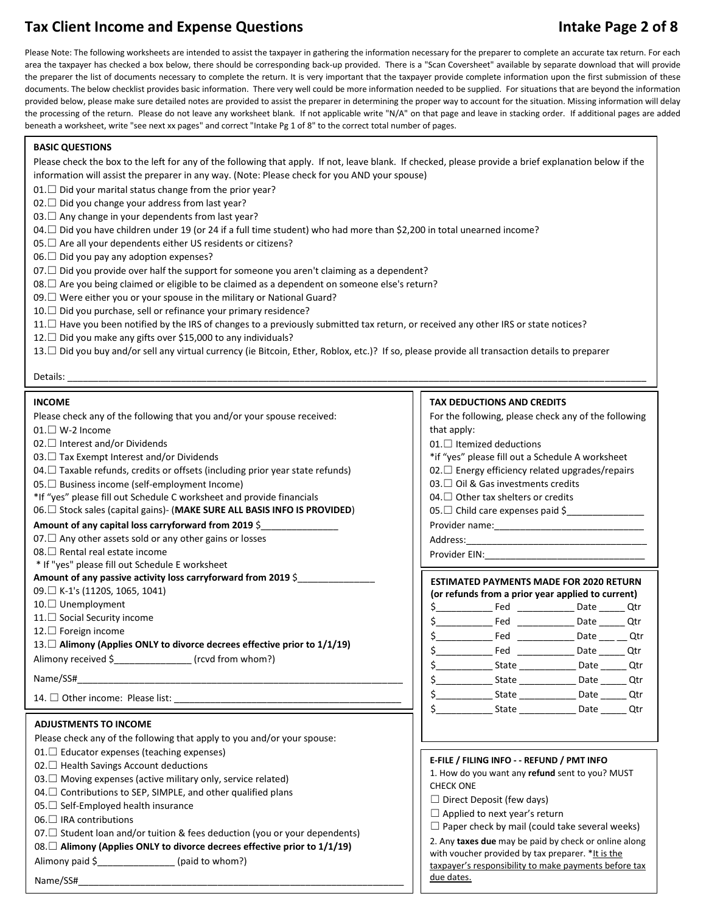## Tax Client Income and Expense Questions **Intake Page 2 of 8** and 2 and 2 and 2 and 2 and 2 and 3 and 3 and 3 and 3 and 3 and 3 and 3 and 3 and 3 and 3 and 3 and 3 and 3 and 3 and 3 and 3 and 3 and 3 and 3 and 3 and 3 and 3

Please Note: The following worksheets are intended to assist the taxpayer in gathering the information necessary for the preparer to complete an accurate tax return. For each area the taxpayer has checked a box below, there should be corresponding back-up provided. There is a "Scan Coversheet" available by separate download that will provide the preparer the list of documents necessary to complete the return. It is very important that the taxpayer provide complete information upon the first submission of these documents. The below checklist provides basic information. There very well could be more information needed to be supplied. For situations that are beyond the information provided below, please make sure detailed notes are provided to assist the preparer in determining the proper way to account for the situation. Missing information will delay the processing of the return. Please do not leave any worksheet blank. If not applicable write "N/A" on that page and leave in stacking order. If additional pages are added beneath a worksheet, write "see next xx pages" and correct "Intake Pg 1 of 8" to the correct total number of pages.

#### **BASIC QUESTIONS**

Please check the box to the left for any of the following that apply. If not, leave blank. If checked, please provide a brief explanation below if the information will assist the preparer in any way. (Note: Please check for you AND your spouse)

- 01.□ Did your marital status change from the prior year?
- 02.□ Did you change your address from last year?
- 03.□ Any change in your dependents from last year?
- 04.□ Did you have children under 19 (or 24 if a full time student) who had more than \$2,200 in total unearned income?
- 05.  $□$  Are all your dependents either US residents or citizens?
- $06.$  Did you pay any adoption expenses?
- $07. \Box$  Did you provide over half the support for someone you aren't claiming as a dependent?
- 08.□ Are you being claimed or eligible to be claimed as a dependent on someone else's return?
- 09. □ Were either you or your spouse in the military or National Guard?
- 10. □ Did you purchase, sell or refinance your primary residence?
- 11.□ Have you been notified by the IRS of changes to a previously submitted tax return, or received any other IRS or state notices?
- 12.□ Did you make any gifts over \$15,000 to any individuals?

13.□ Did you buy and/or sell any virtual currency (ie Bitcoin, Ether, Roblox, etc.)? If so, please provide all transaction details to preparer

#### Details: \_\_\_\_\_\_\_\_\_\_\_\_\_\_\_\_\_\_\_\_\_\_\_\_\_\_\_\_\_\_\_\_\_\_\_\_\_\_\_\_\_\_\_\_\_\_\_\_\_\_\_\_\_\_\_\_\_\_\_\_\_\_\_\_\_\_\_\_\_\_\_\_\_\_\_\_\_\_\_\_\_\_\_\_\_\_\_\_\_\_\_\_\_\_\_\_\_\_\_\_\_\_\_\_\_\_\_\_\_\_\_\_

#### **INCOME**

| Please check any of the following that you and/or your spouse received:             |                                                       | For the following, please check any of the following                                                       |                                          |  |
|-------------------------------------------------------------------------------------|-------------------------------------------------------|------------------------------------------------------------------------------------------------------------|------------------------------------------|--|
| $01. \Box$ W-2 Income                                                               | that apply:                                           |                                                                                                            |                                          |  |
| $02.$ Interest and/or Dividends                                                     |                                                       | $01.$ Itemized deductions                                                                                  |                                          |  |
| 03. □ Tax Exempt Interest and/or Dividends                                          |                                                       | *if "yes" please fill out a Schedule A worksheet                                                           |                                          |  |
| 04. $\Box$ Taxable refunds, credits or offsets (including prior year state refunds) |                                                       | $02.$ Energy efficiency related upgrades/repairs                                                           |                                          |  |
| 05. □ Business income (self-employment Income)                                      |                                                       | $03.$ Oil & Gas investments credits                                                                        |                                          |  |
| *If "yes" please fill out Schedule C worksheet and provide financials               |                                                       | 04. $\Box$ Other tax shelters or credits                                                                   |                                          |  |
| 06. Stock sales (capital gains)- (MAKE SURE ALL BASIS INFO IS PROVIDED)             |                                                       | 05. $\Box$ Child care expenses paid \$                                                                     |                                          |  |
| Amount of any capital loss carryforward from 2019 $\frac{2}{5}$                     |                                                       |                                                                                                            |                                          |  |
| 07. $\Box$ Any other assets sold or any other gains or losses                       |                                                       |                                                                                                            |                                          |  |
| 08. □ Rental real estate income                                                     |                                                       |                                                                                                            |                                          |  |
| * If "yes" please fill out Schedule E worksheet                                     |                                                       |                                                                                                            |                                          |  |
| Amount of any passive activity loss carryforward from 2019 \$                       |                                                       | <b>ESTIMATED PAYMENTS MADE FOR 2020 RETURN</b>                                                             |                                          |  |
| 09. E K-1's (1120S, 1065, 1041)                                                     |                                                       | (or refunds from a prior year applied to current)                                                          |                                          |  |
| 10.□ Unemployment                                                                   |                                                       |                                                                                                            |                                          |  |
| 11. <sup>□</sup> Social Security income                                             |                                                       |                                                                                                            | Fed _________________ Date _______ Qtr   |  |
| 12. <sup>□</sup> Foreign income                                                     |                                                       |                                                                                                            | Fed ________________ Date ____ ___ Qtr   |  |
| 13. □ Alimony (Applies ONLY to divorce decrees effective prior to 1/1/19)           |                                                       |                                                                                                            | Fed ________________ Date _______ Qtr    |  |
| Alimony received \$__________________ (rcvd from whom?)                             |                                                       |                                                                                                            |                                          |  |
|                                                                                     |                                                       |                                                                                                            | State _________________ Date _______ Qtr |  |
| 14. Other income: Please list: ___________                                          |                                                       |                                                                                                            |                                          |  |
|                                                                                     |                                                       |                                                                                                            |                                          |  |
| <b>ADJUSTMENTS TO INCOME</b>                                                        |                                                       |                                                                                                            |                                          |  |
| Please check any of the following that apply to you and/or your spouse:             |                                                       |                                                                                                            |                                          |  |
| $01.$ Educator expenses (teaching expenses)                                         |                                                       |                                                                                                            |                                          |  |
| 02. □ Health Savings Account deductions                                             |                                                       | E-FILE / FILING INFO - - REFUND / PMT INFO                                                                 |                                          |  |
| 03. □ Moving expenses (active military only, service related)                       |                                                       | 1. How do you want any refund sent to you? MUST                                                            |                                          |  |
| 04. $\Box$ Contributions to SEP, SIMPLE, and other qualified plans                  |                                                       | <b>CHECK ONE</b>                                                                                           |                                          |  |
| $05.$ Self-Employed health insurance                                                |                                                       | $\Box$ Direct Deposit (few days)                                                                           |                                          |  |
| $06.$ IRA contributions                                                             |                                                       | $\Box$ Applied to next year's return                                                                       |                                          |  |
| 07. $\Box$ Student loan and/or tuition & fees deduction (you or your dependents)    | $\Box$ Paper check by mail (could take several weeks) |                                                                                                            |                                          |  |
| $08.\Box$ Alimony (Applies ONLY to divorce decrees effective prior to 1/1/19)       |                                                       | 2. Any taxes due may be paid by check or online along                                                      |                                          |  |
| Alimony paid \$ (paid to whom?)                                                     |                                                       | with voucher provided by tax preparer. *It is the<br>taxpayer's responsibility to make payments before tax |                                          |  |
| Name/SS#                                                                            | due dates.                                            |                                                                                                            |                                          |  |
|                                                                                     |                                                       |                                                                                                            |                                          |  |

#### **TAX DEDUCTIONS AND CREDITS**

| that apply:                                             |                                                                                                                        | For the following, please check any of the following                                                |  |  |
|---------------------------------------------------------|------------------------------------------------------------------------------------------------------------------------|-----------------------------------------------------------------------------------------------------|--|--|
|                                                         | 01. $\Box$ Itemized deductions<br>03. $\Box$ Oil & Gas investments credits<br>04. $\Box$ Other tax shelters or credits | *if "yes" please fill out a Schedule A worksheet<br>02.□ Energy efficiency related upgrades/repairs |  |  |
| $05.\Box$ Child care expenses paid \$__________________ |                                                                                                                        |                                                                                                     |  |  |
|                                                         |                                                                                                                        |                                                                                                     |  |  |
|                                                         |                                                                                                                        |                                                                                                     |  |  |
|                                                         |                                                                                                                        |                                                                                                     |  |  |
|                                                         |                                                                                                                        |                                                                                                     |  |  |
|                                                         |                                                                                                                        |                                                                                                     |  |  |
|                                                         |                                                                                                                        |                                                                                                     |  |  |
|                                                         |                                                                                                                        |                                                                                                     |  |  |
|                                                         |                                                                                                                        |                                                                                                     |  |  |

#### **E-FILE / FILING INFO - - REFUND / PMT INFO**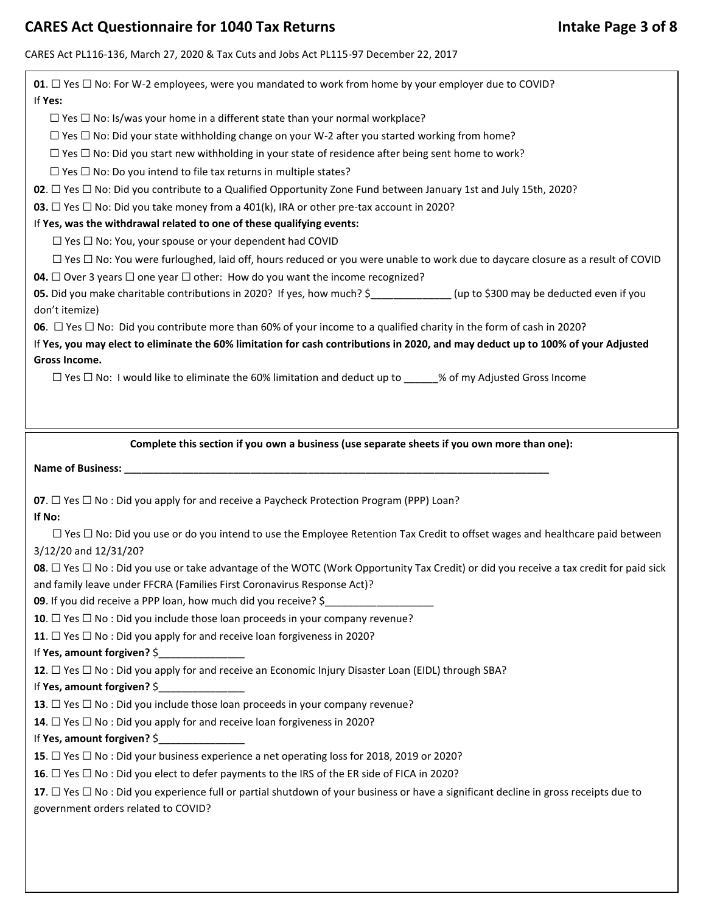## CARES Act Questionnaire for 1040 Tax Returns **Intake Page 3 of 8** and Manus 1040 Tax Returns

## CARES Act PL116-136, March 27, 2020 & Tax Cuts and Jobs Act PL115-97 December 22, 2017

| <b>01</b> . $\Box$ Yes $\Box$ No: For W-2 employees, were you mandated to work from home by your employer due to COVID?<br>If Yes:                               |
|------------------------------------------------------------------------------------------------------------------------------------------------------------------|
| $\Box$ Yes $\Box$ No: Is/was your home in a different state than your normal workplace?                                                                          |
|                                                                                                                                                                  |
| $\Box$ Yes $\Box$ No: Did your state withholding change on your W-2 after you started working from home?                                                         |
| $\Box$ Yes $\Box$ No: Did you start new withholding in your state of residence after being sent home to work?                                                    |
| $\Box$ Yes $\Box$ No: Do you intend to file tax returns in multiple states?                                                                                      |
| <b>02</b> . $\Box$ Yes $\Box$ No: Did you contribute to a Qualified Opportunity Zone Fund between January 1st and July 15th, 2020?                               |
| <b>03.</b> $\Box$ Yes $\Box$ No: Did you take money from a 401(k), IRA or other pre-tax account in 2020?                                                         |
| If Yes, was the withdrawal related to one of these qualifying events:                                                                                            |
| $\Box$ Yes $\Box$ No: You, your spouse or your dependent had COVID                                                                                               |
| $\Box$ Yes $\Box$ No: You were furloughed, laid off, hours reduced or you were unable to work due to daycare closure as a result of COVID                        |
| <b>04.</b> $\Box$ Over 3 years $\Box$ one year $\Box$ other: How do you want the income recognized?                                                              |
| 05. Did you make charitable contributions in 2020? If yes, how much? \$ ______________(up to \$300 may be deducted even if you                                   |
| don't itemize)                                                                                                                                                   |
| <b>06</b> . $\Box$ Yes $\Box$ No: Did you contribute more than 60% of your income to a qualified charity in the form of cash in 2020?                            |
| If Yes, you may elect to eliminate the 60% limitation for cash contributions in 2020, and may deduct up to 100% of your Adjusted                                 |
| Gross Income.                                                                                                                                                    |
| $\Box$ Yes $\Box$ No: I would like to eliminate the 60% limitation and deduct up to _____% of my Adjusted Gross Income                                           |
|                                                                                                                                                                  |
|                                                                                                                                                                  |
|                                                                                                                                                                  |
| Complete this section if you own a business (use separate sheets if you own more than one):                                                                      |
|                                                                                                                                                                  |
|                                                                                                                                                                  |
|                                                                                                                                                                  |
|                                                                                                                                                                  |
| <b>07</b> . $\Box$ Yes $\Box$ No : Did you apply for and receive a Paycheck Protection Program (PPP) Loan?<br>If No:                                             |
|                                                                                                                                                                  |
| $\Box$ Yes $\Box$ No: Did you use or do you intend to use the Employee Retention Tax Credit to offset wages and healthcare paid between<br>3/12/20 and 12/31/20? |
|                                                                                                                                                                  |
| <b>08</b> . $\Box$ Yes $\Box$ No : Did you use or take advantage of the WOTC (Work Opportunity Tax Credit) or did you receive a tax credit for paid sick         |
| and family leave under FFCRA (Families First Coronavirus Response Act)?                                                                                          |
| 09. If you did receive a PPP loan, how much did you receive? \$                                                                                                  |
| 10. $\Box$ Yes $\Box$ No : Did you include those loan proceeds in your company revenue?                                                                          |
| 11. $\Box$ Yes $\Box$ No : Did you apply for and receive loan forgiveness in 2020?                                                                               |
| If Yes, amount forgiven? \$                                                                                                                                      |
| 12. $\Box$ Yes $\Box$ No : Did you apply for and receive an Economic Injury Disaster Loan (EIDL) through SBA?                                                    |
| If Yes, amount forgiven? \$                                                                                                                                      |
| 13. $\Box$ Yes $\Box$ No : Did you include those loan proceeds in your company revenue?                                                                          |
| <b>14.</b> $\Box$ Yes $\Box$ No : Did you apply for and receive loan forgiveness in 2020?                                                                        |
| If Yes, amount forgiven? \$                                                                                                                                      |
| 15. □ Yes □ No : Did your business experience a net operating loss for 2018, 2019 or 2020?                                                                       |
| 16. $\Box$ Yes $\Box$ No : Did you elect to defer payments to the IRS of the ER side of FICA in 2020?                                                            |
| 17. □ Yes □ No : Did you experience full or partial shutdown of your business or have a significant decline in gross receipts due to                             |
| government orders related to COVID?                                                                                                                              |
|                                                                                                                                                                  |
|                                                                                                                                                                  |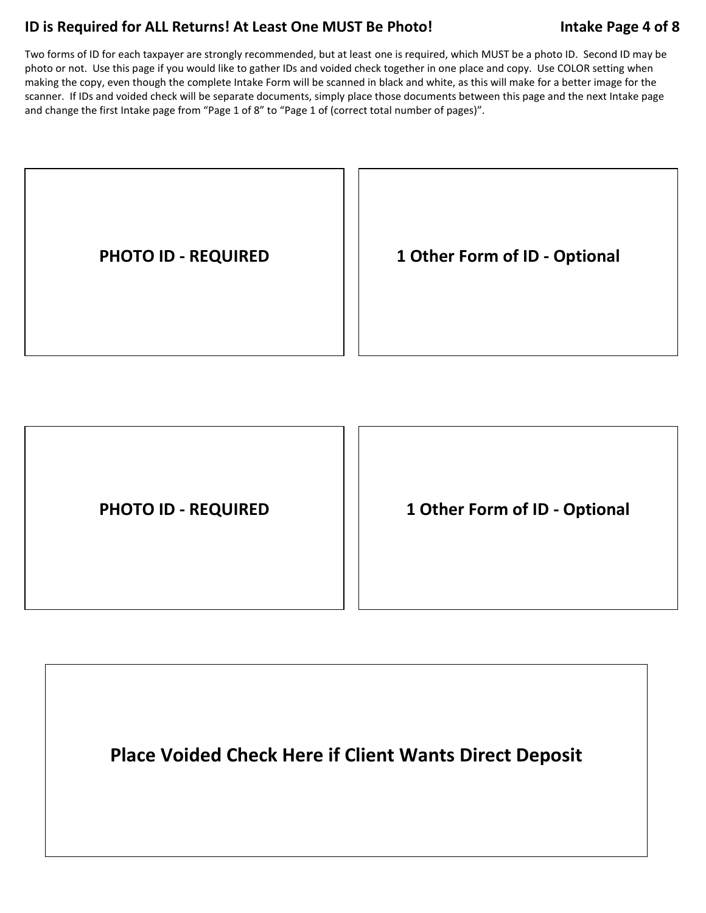## **ID is Required for ALL Returns! At Least One MUST Be Photo! Intake Page 4 of 8**

Two forms of ID for each taxpayer are strongly recommended, but at least one is required, which MUST be a photo ID. Second ID may be photo or not. Use this page if you would like to gather IDs and voided check together in one place and copy. Use COLOR setting when making the copy, even though the complete Intake Form will be scanned in black and white, as this will make for a better image for the scanner. If IDs and voided check will be separate documents, simply place those documents between this page and the next Intake page and change the first Intake page from "Page 1 of 8" to "Page 1 of (correct total number of pages)".



| <b>PHOTO ID - REQUIRED</b> | 1 Other Form of ID - Optional |
|----------------------------|-------------------------------|
|                            |                               |

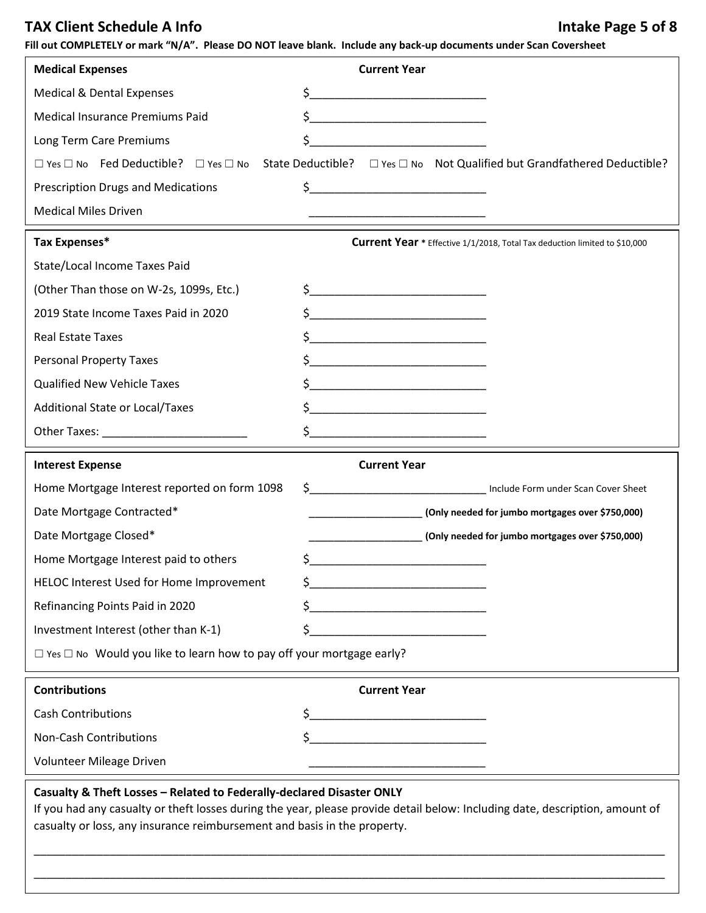## TAX Client Schedule A Info **Intake Page 5 of 8 Intake Page 5 of 8**

**Fill out COMPLETELY or mark "N/A". Please DO NOT leave blank. Include any back-up documents under Scan Coversheet** 

| <b>Medical Expenses</b>                                                          | <b>Current Year</b>                                                                                                                                                                                                                                                                                                                                                 |
|----------------------------------------------------------------------------------|---------------------------------------------------------------------------------------------------------------------------------------------------------------------------------------------------------------------------------------------------------------------------------------------------------------------------------------------------------------------|
| <b>Medical &amp; Dental Expenses</b>                                             | $\frac{1}{2}$                                                                                                                                                                                                                                                                                                                                                       |
| Medical Insurance Premiums Paid                                                  | \$_                                                                                                                                                                                                                                                                                                                                                                 |
| Long Term Care Premiums                                                          |                                                                                                                                                                                                                                                                                                                                                                     |
|                                                                                  | $\Box$ Yes $\Box$ No Fed Deductible? $\Box$ Yes $\Box$ No State Deductible? $\Box$ Yes $\Box$ No Not Qualified but Grandfathered Deductible?                                                                                                                                                                                                                        |
| <b>Prescription Drugs and Medications</b>                                        | $\frac{1}{2}$ $\frac{1}{2}$ $\frac{1}{2}$ $\frac{1}{2}$ $\frac{1}{2}$ $\frac{1}{2}$ $\frac{1}{2}$ $\frac{1}{2}$ $\frac{1}{2}$ $\frac{1}{2}$ $\frac{1}{2}$ $\frac{1}{2}$ $\frac{1}{2}$ $\frac{1}{2}$ $\frac{1}{2}$ $\frac{1}{2}$ $\frac{1}{2}$ $\frac{1}{2}$ $\frac{1}{2}$ $\frac{1}{2}$ $\frac{1}{2}$ $\frac{1}{2}$                                                 |
| <b>Medical Miles Driven</b>                                                      |                                                                                                                                                                                                                                                                                                                                                                     |
| Tax Expenses*                                                                    | Current Year * Effective 1/1/2018, Total Tax deduction limited to \$10,000                                                                                                                                                                                                                                                                                          |
| State/Local Income Taxes Paid                                                    |                                                                                                                                                                                                                                                                                                                                                                     |
| (Other Than those on W-2s, 1099s, Etc.)                                          | $\begin{picture}(20,10) \put(0,0){\line(1,0){10}} \put(15,0){\line(1,0){10}} \put(15,0){\line(1,0){10}} \put(15,0){\line(1,0){10}} \put(15,0){\line(1,0){10}} \put(15,0){\line(1,0){10}} \put(15,0){\line(1,0){10}} \put(15,0){\line(1,0){10}} \put(15,0){\line(1,0){10}} \put(15,0){\line(1,0){10}} \put(15,0){\line(1,0){10}} \put(15,0){\line(1$                 |
| 2019 State Income Taxes Paid in 2020                                             |                                                                                                                                                                                                                                                                                                                                                                     |
| <b>Real Estate Taxes</b>                                                         |                                                                                                                                                                                                                                                                                                                                                                     |
| <b>Personal Property Taxes</b>                                                   | $\zeta$                                                                                                                                                                                                                                                                                                                                                             |
| <b>Qualified New Vehicle Taxes</b>                                               | $\begin{picture}(20,10) \put(0,0){\vector(1,0){100}} \put(15,0){\vector(1,0){100}} \put(15,0){\vector(1,0){100}} \put(15,0){\vector(1,0){100}} \put(15,0){\vector(1,0){100}} \put(15,0){\vector(1,0){100}} \put(15,0){\vector(1,0){100}} \put(15,0){\vector(1,0){100}} \put(15,0){\vector(1,0){100}} \put(15,0){\vector(1,0){100}} \put(15,0){\vector(1,0){100}} \$ |
| <b>Additional State or Local/Taxes</b>                                           |                                                                                                                                                                                                                                                                                                                                                                     |
|                                                                                  |                                                                                                                                                                                                                                                                                                                                                                     |
|                                                                                  |                                                                                                                                                                                                                                                                                                                                                                     |
| <b>Interest Expense</b>                                                          | <b>Current Year</b>                                                                                                                                                                                                                                                                                                                                                 |
| Home Mortgage Interest reported on form 1098                                     |                                                                                                                                                                                                                                                                                                                                                                     |
| Date Mortgage Contracted*                                                        | (Only needed for jumbo mortgages over \$750,000)                                                                                                                                                                                                                                                                                                                    |
| Date Mortgage Closed*                                                            | (Only needed for jumbo mortgages over \$750,000)                                                                                                                                                                                                                                                                                                                    |
| Home Mortgage Interest paid to others                                            | \$.<br><u> 1990 - Johann Barbara, martxa alemani</u> ar a                                                                                                                                                                                                                                                                                                           |
| HELOC Interest Used for Home Improvement                                         | \$                                                                                                                                                                                                                                                                                                                                                                  |
| Refinancing Points Paid in 2020                                                  | \$                                                                                                                                                                                                                                                                                                                                                                  |
| Investment Interest (other than K-1)                                             | \$                                                                                                                                                                                                                                                                                                                                                                  |
| $\Box$ Yes $\Box$ No Would you like to learn how to pay off your mortgage early? |                                                                                                                                                                                                                                                                                                                                                                     |
| <b>Contributions</b>                                                             | <b>Current Year</b>                                                                                                                                                                                                                                                                                                                                                 |
| <b>Cash Contributions</b>                                                        | \$                                                                                                                                                                                                                                                                                                                                                                  |
| Non-Cash Contributions                                                           | \$                                                                                                                                                                                                                                                                                                                                                                  |

### **Casualty & Theft Losses – Related to Federally-declared Disaster ONLY**

\_

If you had any casualty or theft losses during the year, please provide detail below: Including date, description, amount of casualty or loss, any insurance reimbursement and basis in the property.

\_\_\_\_\_\_\_\_\_\_\_\_\_\_\_\_\_\_\_\_\_\_\_\_\_\_\_\_\_\_\_\_\_\_\_\_\_\_\_\_\_\_\_\_\_\_\_\_\_\_\_\_\_\_\_\_\_\_\_\_\_\_\_\_\_\_\_\_\_\_\_\_\_\_\_\_\_\_\_\_\_\_\_\_\_\_\_\_\_\_\_\_\_\_\_\_\_\_\_\_

\_\_\_\_\_\_\_\_\_\_\_\_\_\_\_\_\_\_\_\_\_\_\_\_\_\_\_\_\_\_\_\_\_\_\_\_\_\_\_\_\_\_\_\_\_\_\_\_\_\_\_\_\_\_\_\_\_\_\_\_\_\_\_\_\_\_\_\_\_\_\_\_\_\_\_\_\_\_\_\_\_\_\_\_\_\_\_\_\_\_\_\_\_\_\_\_\_\_\_\_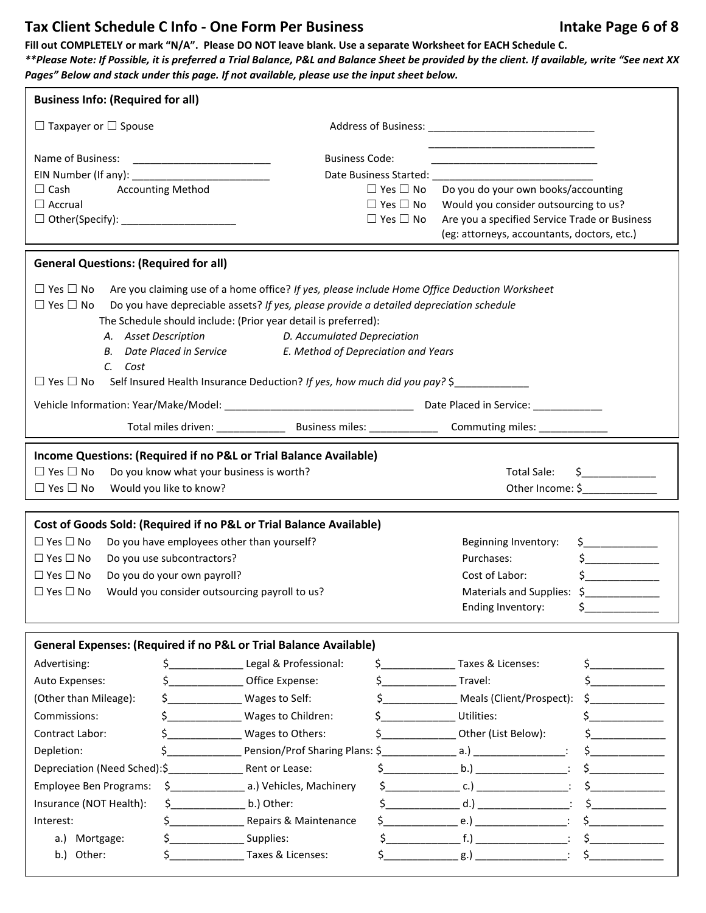## Tax Client Schedule C Info - One Form Per Business **Intake Page 6 of 8** and M and M and M and M and M and M and M and M and M and M and M and M and M and M and M and M and M and M and M and M and M and M and M and M and M

**Fill out COMPLETELY or mark "N/A". Please DO NOT leave blank. Use a separate Worksheet for EACH Schedule C.** 

*\*\*Please Note: If Possible, it is preferred a Trial Balance, P&L and Balance Sheet be provided by the client. If available, write "See next XX Pages" Below and stack under this page. If not available, please use the input sheet below.*

| <b>Business Info: (Required for all)</b>                                                       |                                            |                                                                                         |                                                                                                                                                                                                                                                                                                  |                                                                                                                      |                                    |
|------------------------------------------------------------------------------------------------|--------------------------------------------|-----------------------------------------------------------------------------------------|--------------------------------------------------------------------------------------------------------------------------------------------------------------------------------------------------------------------------------------------------------------------------------------------------|----------------------------------------------------------------------------------------------------------------------|------------------------------------|
| $\Box$ Taxpayer or $\Box$ Spouse                                                               |                                            |                                                                                         |                                                                                                                                                                                                                                                                                                  |                                                                                                                      |                                    |
| Name of Business:                                                                              |                                            | <b>Business Code:</b>                                                                   |                                                                                                                                                                                                                                                                                                  |                                                                                                                      |                                    |
|                                                                                                |                                            |                                                                                         |                                                                                                                                                                                                                                                                                                  | <u> 1989 - Johann Stein, mars an deutscher Stein und der Stein und der Stein und der Stein und der Stein und der</u> |                                    |
| $\Box$ Cash                                                                                    | <b>Accounting Method</b>                   |                                                                                         | $\Box$ Yes $\Box$ No                                                                                                                                                                                                                                                                             | Do you do your own books/accounting                                                                                  |                                    |
| $\Box$ Accrual                                                                                 |                                            |                                                                                         | $\Box$ Yes $\Box$ No                                                                                                                                                                                                                                                                             | Would you consider outsourcing to us?                                                                                |                                    |
|                                                                                                |                                            |                                                                                         | $\Box$ Yes $\Box$ No                                                                                                                                                                                                                                                                             | Are you a specified Service Trade or Business                                                                        |                                    |
|                                                                                                |                                            |                                                                                         |                                                                                                                                                                                                                                                                                                  | (eg: attorneys, accountants, doctors, etc.)                                                                          |                                    |
| <b>General Questions: (Required for all)</b>                                                   |                                            |                                                                                         |                                                                                                                                                                                                                                                                                                  |                                                                                                                      |                                    |
| $\square$ Yes $\square$ No                                                                     |                                            |                                                                                         |                                                                                                                                                                                                                                                                                                  | Are you claiming use of a home office? If yes, please include Home Office Deduction Worksheet                        |                                    |
| $\Box$ Yes $\Box$ No                                                                           |                                            | Do you have depreciable assets? If yes, please provide a detailed depreciation schedule |                                                                                                                                                                                                                                                                                                  |                                                                                                                      |                                    |
|                                                                                                |                                            | The Schedule should include: (Prior year detail is preferred):                          |                                                                                                                                                                                                                                                                                                  |                                                                                                                      |                                    |
| A. Asset Description                                                                           |                                            | D. Accumulated Depreciation                                                             |                                                                                                                                                                                                                                                                                                  |                                                                                                                      |                                    |
|                                                                                                | B. Date Placed in Service                  | E. Method of Depreciation and Years                                                     |                                                                                                                                                                                                                                                                                                  |                                                                                                                      |                                    |
| C. Cost                                                                                        |                                            |                                                                                         |                                                                                                                                                                                                                                                                                                  |                                                                                                                      |                                    |
| $\Box$ Yes $\Box$ No Self Insured Health Insurance Deduction? If yes, how much did you pay? \$ |                                            |                                                                                         |                                                                                                                                                                                                                                                                                                  |                                                                                                                      |                                    |
|                                                                                                |                                            |                                                                                         |                                                                                                                                                                                                                                                                                                  |                                                                                                                      |                                    |
|                                                                                                |                                            |                                                                                         |                                                                                                                                                                                                                                                                                                  |                                                                                                                      |                                    |
| Income Questions: (Required if no P&L or Trial Balance Available)                              |                                            |                                                                                         |                                                                                                                                                                                                                                                                                                  |                                                                                                                      |                                    |
| $\Box$ Yes $\Box$ No                                                                           | Do you know what your business is worth?   |                                                                                         |                                                                                                                                                                                                                                                                                                  | <b>Total Sale:</b>                                                                                                   | $\frac{1}{2}$                      |
| $\Box$ Yes $\Box$ No                                                                           | Would you like to know?                    |                                                                                         |                                                                                                                                                                                                                                                                                                  |                                                                                                                      | Other Income: \$                   |
|                                                                                                |                                            |                                                                                         |                                                                                                                                                                                                                                                                                                  |                                                                                                                      |                                    |
| Cost of Goods Sold: (Required if no P&L or Trial Balance Available)                            |                                            |                                                                                         |                                                                                                                                                                                                                                                                                                  |                                                                                                                      |                                    |
| $\Box$ Yes $\Box$ No                                                                           | Do you have employees other than yourself? |                                                                                         |                                                                                                                                                                                                                                                                                                  | Beginning Inventory:                                                                                                 |                                    |
| $\Box$ Yes $\Box$ No                                                                           | Do you use subcontractors?                 |                                                                                         |                                                                                                                                                                                                                                                                                                  | Purchases:                                                                                                           | $\frac{1}{2}$                      |
| $\Box$ Yes $\Box$ No<br>Do you do your own payroll?                                            |                                            |                                                                                         |                                                                                                                                                                                                                                                                                                  | Cost of Labor:                                                                                                       | $\frac{1}{2}$                      |
| $\Box$ Yes $\Box$ No<br>Would you consider outsourcing payroll to us?                          |                                            |                                                                                         |                                                                                                                                                                                                                                                                                                  | Materials and Supplies: \$                                                                                           |                                    |
|                                                                                                |                                            |                                                                                         |                                                                                                                                                                                                                                                                                                  | Ending Inventory:                                                                                                    | \$.                                |
| General Expenses: (Required if no P&L or Trial Balance Available)                              |                                            |                                                                                         |                                                                                                                                                                                                                                                                                                  |                                                                                                                      |                                    |
| Advertising:                                                                                   | $\mathsf{\dot{S}}$ and $\mathsf{\dot{S}}$  | Legal & Professional:                                                                   |                                                                                                                                                                                                                                                                                                  | \$ Taxes & Licenses:                                                                                                 | $\mathsf{S}$ and $\mathsf{S}$      |
| Auto Expenses:                                                                                 |                                            | Office Expense:                                                                         | $\mathsf{S}$ and $\mathsf{S}$                                                                                                                                                                                                                                                                    | Travel:                                                                                                              | $\mathsf{\$}$                      |
|                                                                                                |                                            |                                                                                         |                                                                                                                                                                                                                                                                                                  |                                                                                                                      |                                    |
| (Other than Mileage):                                                                          | $\mathsf{S}$ and $\mathsf{S}$              | Wages to Self:                                                                          |                                                                                                                                                                                                                                                                                                  | \$ ________________ Meals (Client/Prospect):                                                                         | $\frac{1}{2}$                      |
| Commissions:                                                                                   |                                            | Wages to Children:                                                                      | $\mathsf{S}$ and $\mathsf{S}$ and $\mathsf{S}$ and $\mathsf{S}$ and $\mathsf{S}$ and $\mathsf{S}$ and $\mathsf{S}$ and $\mathsf{S}$ and $\mathsf{S}$ and $\mathsf{S}$ and $\mathsf{S}$ and $\mathsf{S}$ and $\mathsf{S}$ and $\mathsf{S}$ and $\mathsf{S}$ and $\mathsf{S}$ and $\mathsf{S}$ and | Utilities:                                                                                                           |                                    |
| Contract Labor:                                                                                | $\zeta$                                    | Wages to Others:                                                                        |                                                                                                                                                                                                                                                                                                  | \$ Other (List Below):                                                                                               |                                    |
| Depletion:                                                                                     | $\zeta$                                    | Pension/Prof Sharing Plans: \$                                                          |                                                                                                                                                                                                                                                                                                  |                                                                                                                      | $\frac{1}{2}$                      |
| Depreciation (Need Sched): \$ Rent or Lease:                                                   |                                            |                                                                                         | $\zeta$                                                                                                                                                                                                                                                                                          | $\mathbf{b}$ .) $\qquad \qquad$ :                                                                                    | $\begin{array}{c}\n5\n\end{array}$ |
| <b>Employee Ben Programs:</b>                                                                  |                                            |                                                                                         | $\mathsf{\dot{S}}$ and $\mathsf{\dot{S}}$                                                                                                                                                                                                                                                        | $\mathsf{c.})$ $\qquad \qquad \qquad$                                                                                |                                    |
| Insurance (NOT Health):                                                                        | $\sin(2\theta)$ (5) b.) Other:             |                                                                                         |                                                                                                                                                                                                                                                                                                  | $d.$ ) :                                                                                                             |                                    |
| Interest:                                                                                      | $\sim$                                     | Repairs & Maintenance                                                                   |                                                                                                                                                                                                                                                                                                  | e.) $\qquad \qquad$ :                                                                                                | $\frac{1}{5}$                      |
| Mortgage:<br>a.)                                                                               | $\sim$                                     | Supplies:                                                                               |                                                                                                                                                                                                                                                                                                  | $S =$ $f.)$ $f.)$                                                                                                    | $\sharp$                           |
| Other:<br>b.                                                                                   | \$.                                        | Taxes & Licenses:                                                                       |                                                                                                                                                                                                                                                                                                  |                                                                                                                      | $\sim$                             |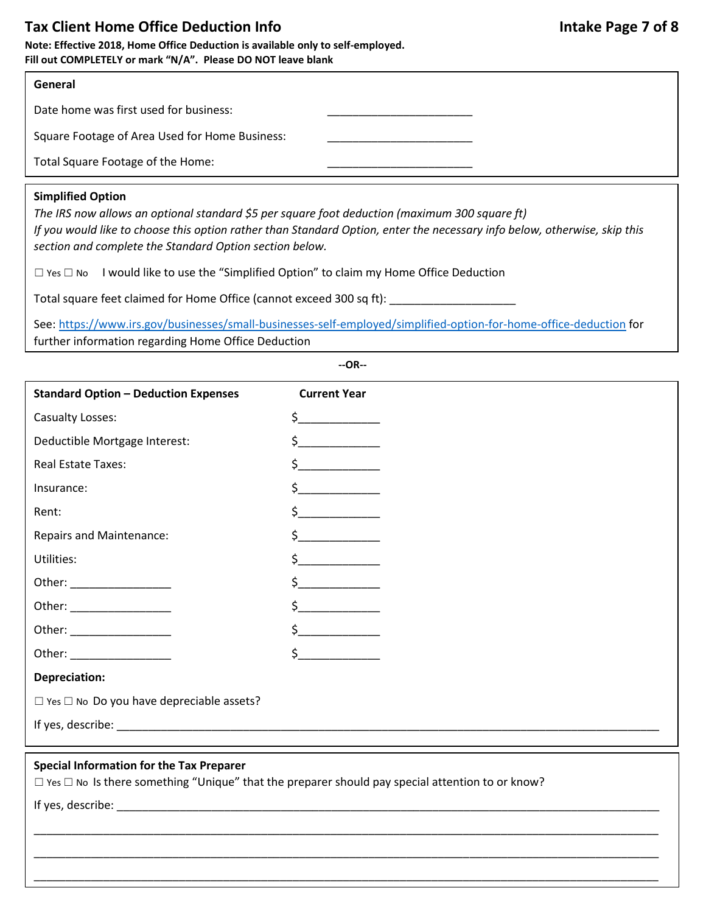## Tax Client Home Office Deduction Info **Intake Page 7 of 8** and  $\overline{a}$  and  $\overline{b}$  and  $\overline{b}$  and  $\overline{b}$  and  $\overline{b}$  and  $\overline{b}$  and  $\overline{b}$  and  $\overline{b}$  and  $\overline{b}$  and  $\overline{b}$  and  $\overline{b}$  and  $\overline{b}$  and  $\over$

**Note: Effective 2018, Home Office Deduction is available only to self-employed. Fill out COMPLETELY or mark "N/A". Please DO NOT leave blank** 

### **General**

Date home was first used for business:

Square Footage of Area Used for Home Business:

Total Square Footage of the Home:

### **Simplified Option**

*The IRS now allows an optional standard \$5 per square foot deduction (maximum 300 square ft) If you would like to choose this option rather than Standard Option, enter the necessary info below, otherwise, skip this section and complete the Standard Option section below.*

☐ Yes ☐ No I would like to use the "Simplified Option" to claim my Home Office Deduction

Total square feet claimed for Home Office (cannot exceed 300 sq ft): \_\_\_\_\_\_\_\_\_\_\_\_\_\_\_\_\_\_

See:<https://www.irs.gov/businesses/small-businesses-self-employed/simplified-option-for-home-office-deduction> for further information regarding Home Office Deduction

**--OR--**

| <b>Standard Option - Deduction Expenses</b>                                                                                                                    | <b>Current Year</b>                                                                                                                                                                                                                                                                                                                                                                                                                                                                                                                                    |  |
|----------------------------------------------------------------------------------------------------------------------------------------------------------------|--------------------------------------------------------------------------------------------------------------------------------------------------------------------------------------------------------------------------------------------------------------------------------------------------------------------------------------------------------------------------------------------------------------------------------------------------------------------------------------------------------------------------------------------------------|--|
| Casualty Losses:                                                                                                                                               | $\begin{array}{c} \n \uparrow \text{---} \quad \text{---} \quad \text{---} \quad \text{---} \quad \text{---} \quad \text{---} \quad \text{---} \quad \text{---} \quad \text{---} \quad \text{---} \quad \text{---} \quad \text{---} \quad \text{---} \quad \text{---} \quad \text{---} \quad \text{---} \quad \text{---} \quad \text{---} \quad \text{---} \quad \text{---} \quad \text{---} \quad \text{---} \quad \text{---} \quad \text{---} \quad \text{---} \quad \text{---} \quad \text{---} \quad \text{---} \quad \text{---} \quad \text{---}$ |  |
| Deductible Mortgage Interest:                                                                                                                                  |                                                                                                                                                                                                                                                                                                                                                                                                                                                                                                                                                        |  |
| <b>Real Estate Taxes:</b>                                                                                                                                      | $\frac{1}{2}$                                                                                                                                                                                                                                                                                                                                                                                                                                                                                                                                          |  |
| Insurance:                                                                                                                                                     | $\frac{1}{2}$                                                                                                                                                                                                                                                                                                                                                                                                                                                                                                                                          |  |
| Rent:                                                                                                                                                          | $\frac{1}{2}$                                                                                                                                                                                                                                                                                                                                                                                                                                                                                                                                          |  |
| <b>Repairs and Maintenance:</b>                                                                                                                                | $\frac{1}{2}$                                                                                                                                                                                                                                                                                                                                                                                                                                                                                                                                          |  |
| Utilities:                                                                                                                                                     | $\zeta$                                                                                                                                                                                                                                                                                                                                                                                                                                                                                                                                                |  |
| Other: ___________________                                                                                                                                     | $\sharp$                                                                                                                                                                                                                                                                                                                                                                                                                                                                                                                                               |  |
| Other: ________________                                                                                                                                        |                                                                                                                                                                                                                                                                                                                                                                                                                                                                                                                                                        |  |
|                                                                                                                                                                |                                                                                                                                                                                                                                                                                                                                                                                                                                                                                                                                                        |  |
|                                                                                                                                                                | $\zeta$                                                                                                                                                                                                                                                                                                                                                                                                                                                                                                                                                |  |
| <b>Depreciation:</b>                                                                                                                                           |                                                                                                                                                                                                                                                                                                                                                                                                                                                                                                                                                        |  |
| $\Box$ Yes $\Box$ No Do you have depreciable assets?                                                                                                           |                                                                                                                                                                                                                                                                                                                                                                                                                                                                                                                                                        |  |
|                                                                                                                                                                |                                                                                                                                                                                                                                                                                                                                                                                                                                                                                                                                                        |  |
|                                                                                                                                                                |                                                                                                                                                                                                                                                                                                                                                                                                                                                                                                                                                        |  |
| <b>Special Information for the Tax Preparer</b><br>$\Box$ Yes $\Box$ No Is there something "Unique" that the preparer should pay special attention to or know? |                                                                                                                                                                                                                                                                                                                                                                                                                                                                                                                                                        |  |

\_\_\_\_\_\_\_\_\_\_\_\_\_\_\_\_\_\_\_\_\_\_\_\_\_\_\_\_\_\_\_\_\_\_\_\_\_\_\_\_\_\_\_\_\_\_\_\_\_\_\_\_\_\_\_\_\_\_\_\_\_\_\_\_\_\_\_\_\_\_\_\_\_\_\_\_\_\_\_\_\_\_\_\_\_\_\_\_\_\_\_\_\_\_\_\_\_\_\_

\_\_\_\_\_\_\_\_\_\_\_\_\_\_\_\_\_\_\_\_\_\_\_\_\_\_\_\_\_\_\_\_\_\_\_\_\_\_\_\_\_\_\_\_\_\_\_\_\_\_\_\_\_\_\_\_\_\_\_\_\_\_\_\_\_\_\_\_\_\_\_\_\_\_\_\_\_\_\_\_\_\_\_\_\_\_\_\_\_\_\_\_\_\_\_\_\_\_\_

\_\_\_\_\_\_\_\_\_\_\_\_\_\_\_\_\_\_\_\_\_\_\_\_\_\_\_\_\_\_\_\_\_\_\_\_\_\_\_\_\_\_\_\_\_\_\_\_\_\_\_\_\_\_\_\_\_\_\_\_\_\_\_\_\_\_\_\_\_\_\_\_\_\_\_\_\_\_\_\_\_\_\_\_\_\_\_\_\_\_\_\_\_\_\_\_\_\_\_

If yes, describe:  $\blacksquare$